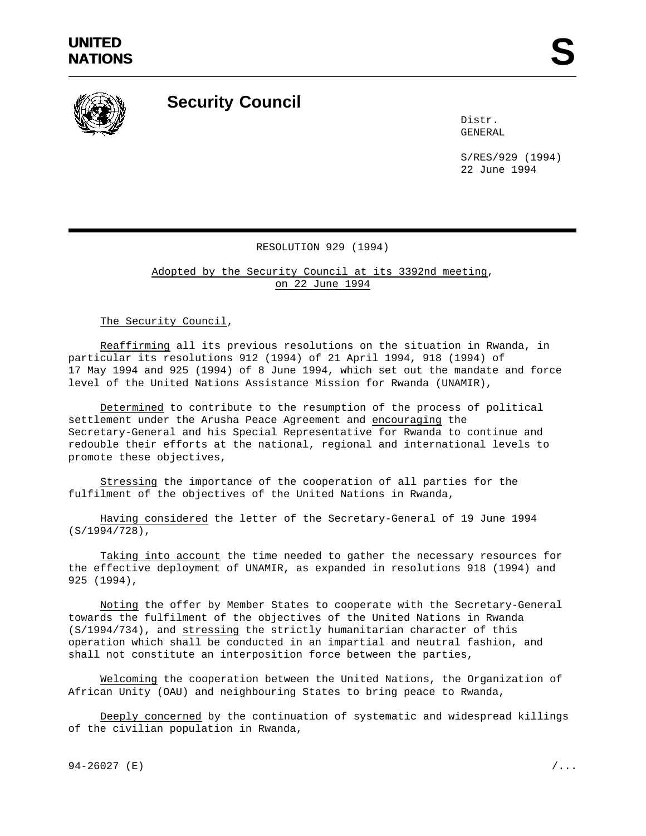

## **Security Council**

Distr. GENERAL

S/RES/929 (1994) 22 June 1994

## RESOLUTION 929 (1994)

Adopted by the Security Council at its 3392nd meeting, on 22 June 1994

The Security Council,

Reaffirming all its previous resolutions on the situation in Rwanda, in particular its resolutions 912 (1994) of 21 April 1994, 918 (1994) of 17 May 1994 and 925 (1994) of 8 June 1994, which set out the mandate and force level of the United Nations Assistance Mission for Rwanda (UNAMIR),

Determined to contribute to the resumption of the process of political settlement under the Arusha Peace Agreement and encouraging the Secretary-General and his Special Representative for Rwanda to continue and redouble their efforts at the national, regional and international levels to promote these objectives,

Stressing the importance of the cooperation of all parties for the fulfilment of the objectives of the United Nations in Rwanda,

Having considered the letter of the Secretary-General of 19 June 1994 (S/1994/728),

Taking into account the time needed to gather the necessary resources for the effective deployment of UNAMIR, as expanded in resolutions 918 (1994) and 925 (1994),

Noting the offer by Member States to cooperate with the Secretary-General towards the fulfilment of the objectives of the United Nations in Rwanda (S/1994/734), and stressing the strictly humanitarian character of this operation which shall be conducted in an impartial and neutral fashion, and shall not constitute an interposition force between the parties,

Welcoming the cooperation between the United Nations, the Organization of African Unity (OAU) and neighbouring States to bring peace to Rwanda,

Deeply concerned by the continuation of systematic and widespread killings of the civilian population in Rwanda,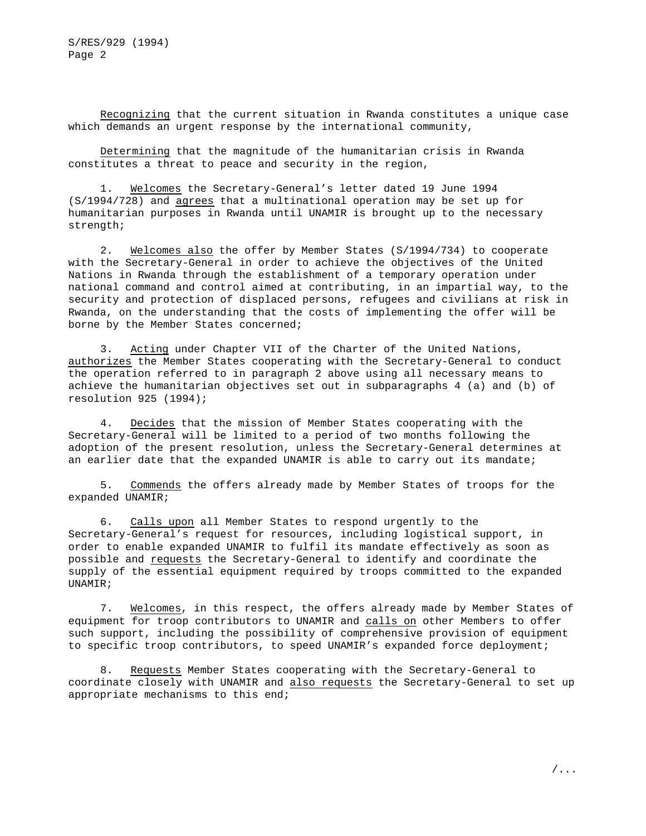Recognizing that the current situation in Rwanda constitutes a unique case which demands an urgent response by the international community,

Determining that the magnitude of the humanitarian crisis in Rwanda constitutes a threat to peace and security in the region,

1. Welcomes the Secretary-General's letter dated 19 June 1994 (S/1994/728) and agrees that a multinational operation may be set up for humanitarian purposes in Rwanda until UNAMIR is brought up to the necessary strength;

2. Welcomes also the offer by Member States (S/1994/734) to cooperate with the Secretary-General in order to achieve the objectives of the United Nations in Rwanda through the establishment of a temporary operation under national command and control aimed at contributing, in an impartial way, to the security and protection of displaced persons, refugees and civilians at risk in Rwanda, on the understanding that the costs of implementing the offer will be borne by the Member States concerned;

3. Acting under Chapter VII of the Charter of the United Nations, authorizes the Member States cooperating with the Secretary-General to conduct the operation referred to in paragraph 2 above using all necessary means to achieve the humanitarian objectives set out in subparagraphs 4 (a) and (b) of resolution 925 (1994);

4. Decides that the mission of Member States cooperating with the Secretary-General will be limited to a period of two months following the adoption of the present resolution, unless the Secretary-General determines at an earlier date that the expanded UNAMIR is able to carry out its mandate;

5. Commends the offers already made by Member States of troops for the expanded UNAMIR;

6. Calls upon all Member States to respond urgently to the Secretary-General's request for resources, including logistical support, in order to enable expanded UNAMIR to fulfil its mandate effectively as soon as possible and requests the Secretary-General to identify and coordinate the supply of the essential equipment required by troops committed to the expanded UNAMIR;

7. Welcomes, in this respect, the offers already made by Member States of equipment for troop contributors to UNAMIR and calls on other Members to offer such support, including the possibility of comprehensive provision of equipment to specific troop contributors, to speed UNAMIR's expanded force deployment;

8. Requests Member States cooperating with the Secretary-General to coordinate closely with UNAMIR and also requests the Secretary-General to set up appropriate mechanisms to this end;